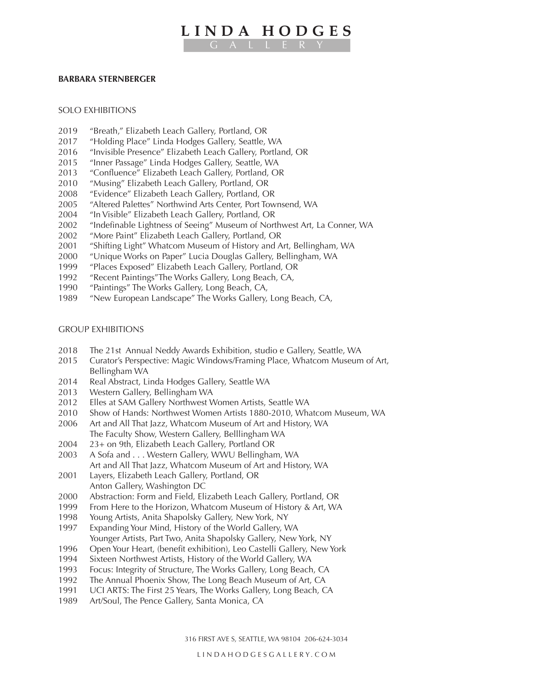## **LINDA HODGES** GALLERY

## **BARBARA STERNBERGER**

## SOLO EXHIBITIONS

- 2019 "Breath," Elizabeth Leach Gallery, Portland, OR
- 2017 "Holding Place" Linda Hodges Gallery, Seattle, WA
- 2016 "Invisible Presence" Elizabeth Leach Gallery, Portland, OR
- 2015 "Inner Passage" Linda Hodges Gallery, Seattle, WA
- 2013 "Confluence" Elizabeth Leach Gallery, Portland, OR
- 2010 "Musing" Elizabeth Leach Gallery, Portland, OR
- 2008 "Evidence" Elizabeth Leach Gallery, Portland, OR
- 2005 "Altered Palettes" Northwind Arts Center, Port Townsend, WA
- 2004 "In Visible" Elizabeth Leach Gallery, Portland, OR
- 2002 "Indefinable Lightness of Seeing" Museum of Northwest Art, La Conner, WA
- 2002 "More Paint" Elizabeth Leach Gallery, Portland, OR
- 2001 "Shifting Light" Whatcom Museum of History and Art, Bellingham, WA
- 2000 "Unique Works on Paper" Lucia Douglas Gallery, Bellingham, WA
- 1999 "Places Exposed" Elizabeth Leach Gallery, Portland, OR
- 1992 "Recent Paintings"The Works Gallery, Long Beach, CA,
- 1990 "Paintings" The Works Gallery, Long Beach, CA,
- 1989 "New European Landscape" The Works Gallery, Long Beach, CA,

## GROUP EXHIBITIONS

- 2018 The 21st Annual Neddy Awards Exhibition, studio e Gallery, Seattle, WA
- 2015 Curator's Perspective: Magic Windows/Framing Place, Whatcom Museum of Art, Bellingham WA
- 2014 Real Abstract, Linda Hodges Gallery, Seattle WA
- 2013 Western Gallery, Bellingham WA
- 2012 Elles at SAM Gallery Northwest Women Artists, Seattle WA
- 2010 Show of Hands: Northwest Women Artists 1880-2010, Whatcom Museum, WA
- 2006 Art and All That Jazz, Whatcom Museum of Art and History, WA The Faculty Show, Western Gallery, Belllingham WA
- 2004 23+ on 9th, Elizabeth Leach Gallery, Portland OR
- 2003 A Sofa and . . . Western Gallery, WWU Bellingham, WA Art and All That Jazz, Whatcom Museum of Art and History, WA
- 2001 Layers, Elizabeth Leach Gallery, Portland, OR Anton Gallery, Washington DC
- 2000 Abstraction: Form and Field, Elizabeth Leach Gallery, Portland, OR
- 1999 From Here to the Horizon, Whatcom Museum of History & Art, WA
- 1998 Young Artists, Anita Shapolsky Gallery, New York, NY
- 1997 Expanding Your Mind, History of the World Gallery, WA Younger Artists, Part Two, Anita Shapolsky Gallery, New York, NY
- 1996 Open Your Heart, (benefit exhibition), Leo Castelli Gallery, New York
- 1994 Sixteen Northwest Artists, History of the World Gallery, WA
- 1993 Focus: Integrity of Structure, The Works Gallery, Long Beach, CA
- 1992 The Annual Phoenix Show, The Long Beach Museum of Art, CA
- 1991 UCI ARTS: The First 25 Years, The Works Gallery, Long Beach, CA
- 1989 Art/Soul, The Pence Gallery, Santa Monica, CA

316 FIRST AVE S, SEATTLE, WA 98104 206-624-3034